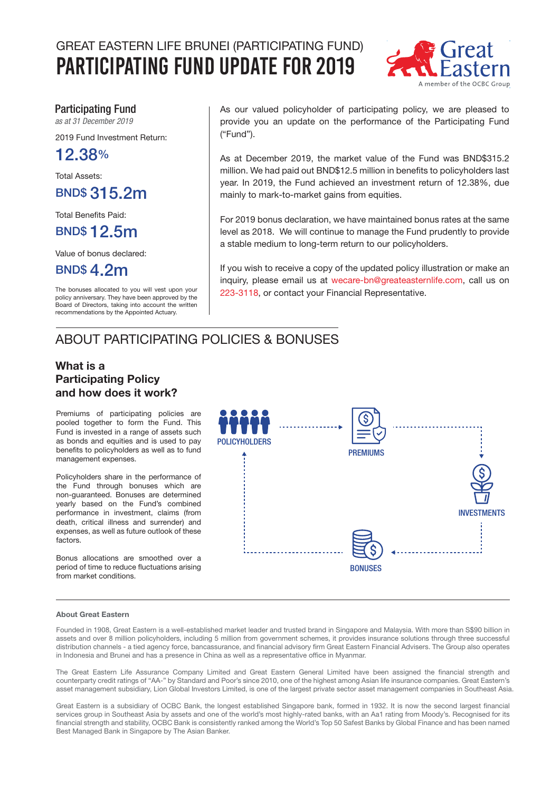# GREAT EASTERN LIFE BRUNEI (PARTICIPATING FUND) Participating Fund Update for 2019



### Participating Fund

*as at 31 December 2019*

2019 Fund Investment Return:

12.38%

Total Assets:

BND\$ 315.2m

Total Benefits Paid:

## BND\$ 12.5m

Value of bonus declared:

BND\$ 4.2m

The bonuses allocated to you will vest upon your policy anniversary. They have been approved by the Board of Directors, taking into account the written recommendations by the Appointed Actuary.

As our valued policyholder of participating policy, we are pleased to provide you an update on the performance of the Participating Fund ("Fund").

As at December 2019, the market value of the Fund was BND\$315.2 million. We had paid out BND\$12.5 million in benefits to policyholders last year. In 2019, the Fund achieved an investment return of 12.38%, due mainly to mark-to-market gains from equities.

For 2019 bonus declaration, we have maintained bonus rates at the same level as 2018. We will continue to manage the Fund prudently to provide a stable medium to long-term return to our policyholders.

If you wish to receive a copy of the updated policy illustration or make an inquiry, please email us at wecare-bn@greateasternlife.com, call us on 223-3118, or contact your Financial Representative.

## ABOUT PARTICIPATING POLICIES & BONUSES

### What is a Participating Policy and how does it work?

Premiums of participating policies are pooled together to form the Fund. This Fund is invested in a range of assets such as bonds and equities and is used to pay benefits to policyholders as well as to fund management expenses.

Policyholders share in the performance of the Fund through bonuses which are non-guaranteed. Bonuses are determined yearly based on the Fund's combined performance in investment, claims (from death, critical illness and surrender) and expenses, as well as future outlook of these factors.

Bonus allocations are smoothed over a period of time to reduce fluctuations arising from market conditions.



#### About Great Eastern

Founded in 1908, Great Eastern is a well-established market leader and trusted brand in Singapore and Malaysia. With more than S\$90 billion in assets and over 8 million policyholders, including 5 million from government schemes, it provides insurance solutions through three successful distribution channels - a tied agency force, bancassurance, and financial advisory firm Great Eastern Financial Advisers. The Group also operates in Indonesia and Brunei and has a presence in China as well as a representative office in Myanmar.

The Great Eastern Life Assurance Company Limited and Great Eastern General Limited have been assigned the financial strength and counterparty credit ratings of "AA-" by Standard and Poor's since 2010, one of the highest among Asian life insurance companies. Great Eastern's asset management subsidiary, Lion Global Investors Limited, is one of the largest private sector asset management companies in Southeast Asia.

Great Eastern is a subsidiary of OCBC Bank, the longest established Singapore bank, formed in 1932. It is now the second largest financial services group in Southeast Asia by assets and one of the world's most highly-rated banks, with an Aa1 rating from Moody's. Recognised for its financial strength and stability, OCBC Bank is consistently ranked among the World's Top 50 Safest Banks by Global Finance and has been named Best Managed Bank in Singapore by The Asian Banker.